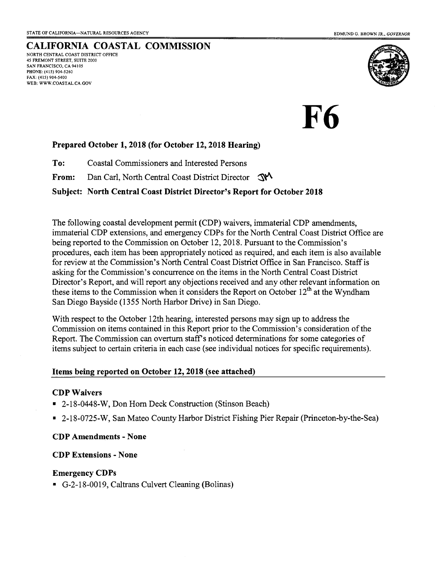CALIFORNIA COASTAL COMMISSION NORTH CENTRAL COAST DISTRICT OFFICE 45 FREMONT STREET, SUTTE 2OOO SAN FRANCISCO, CA 94105 PHONE: (415) 904-5260 FAX: (415) 904-5400 WEB: WWW.COASTAL.CA.GOV



#### Prepared October 1, 2018 (for October 12, 2018 Hearing)

To: Coastal Commissioners and Interested Persons

From: Dan Carl, North Central Coast District Director S

Subject: North Central Coast District Director's Report for October 2018

The following coastal development permit (CDP) waivers, immaterial CDP amendments, immaterial CDP extensions, and emergency CDPs for the North Central Coast District Office are being reported to the Commission on October 12,2018. Pursuant to the Commission's procedures, each item has been appropriately noticed as required, and each item is also available for review at the Commission's North Central Coast District Office in San Francisco. Staff is asking for the Commission's concurrence on the items in the North Cenfral Coast District Director's Report, and will report any objections received and any other relevant information on these items to the Commission when it considers the Report on October  $12<sup>th</sup>$  at the Wyndham San Diego Bayside (1355 North Harbor Drive) in San Diego.

With respect to the October l2th hearing, interested persons may sign up to address the Commission on items contained in this Report prior to the Commission's consideration of the Report. The Commission can overturn staff's noticed determinations for some categories of items subject to certain criteria in each case (see individual notices for specific requirements).

#### Items being reported on October 12,2018 (see attached)

#### CDP Waivers

- . 2-18-0448-W, Don Horn Deck Construction (Stinson Beach)
- . 2-18-0725-W, San Mateo County Harbor District Fishing Pier Repair (Princeton-by-the-Sea)

#### CDPAmendments - None

#### CDP Extensions - None

#### Emergency CDPs

. G-2-18-0019, Caltrans Culvert Cleaning (Bolinas)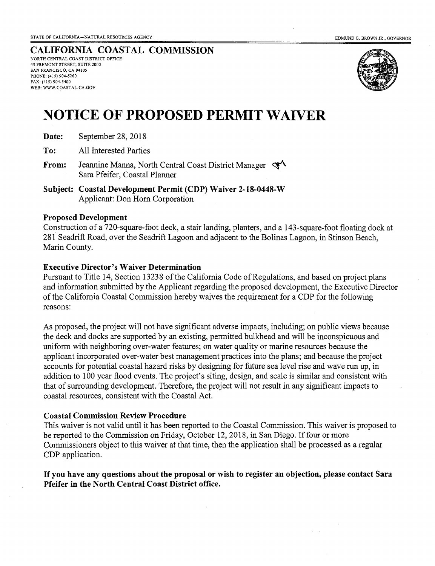#### CALIFORNIA COASTAL COMMISSION NORTH CENTRAL COAST DISTRICT OFFICE 45 FREMONT STREET, SUTTE 2OOO SAN FRANCISCO, CA 94105 PHONE: (415) 904-5260 FAX: (415) 904-5400 WEB: WWW.COASTAL.CA.GOV



# NOTICE OF PROPOSED PERMIT WAIVER

Date: September 28, 2018

To: All Interested Parties

- From: Jeannine Manna, North Central Coast District Manager  $\mathcal{F}^{\mathcal{A}}$ Sara Pfeifer, Coastal Planner
- Subject: Coastal Development Permit (CDP) Waiver 2-18-0448-W Applicant: Don Horn Corporation

#### Proposed Development

Construction of a 720-square-foot deck, a stair landing, planters, and a 143-square-foot floating dock at 281 Seadrift Road, over the Seadrift Lagoon and adjacent to the Bolinas Lagoon, in Stinson Beach, Marin County.

#### Executive Director's Waiver Determination

Pursuant to Title 14, Section 13238 of the California Code of Regulations, and based on project plans and information submitted bythe Applicant regarding the proposed development, the Executive Director of the California Coastal Commission hereby waives the requirernent for a CDP for the following reasons:

As proposed, the project will not have significant adverse impacts, including; on public views because the deck and docks are supported by an existing, permitted bulkhead and will be inconspicuous and uniform with neighboring over-water features; on water quality or marine resources because the applicant incorporated over-water best management practices into the plans; and because the project accounts for potential coastal hazard risks by designing for future sea level rise and wave run up, in addition to 100 year flood events. The project's siting, design, and scale is similar and consistent with that of surrounding development. Therefore, the project will not result in any significant impacts to coastal resources, consistent with the Coastal Act.

#### Coastal Commission Review Procedure

This waiver is not valid until it has been reported to the Coastal Commission. This waiver is proposed to be reported to the Commission on Friday, October 12,2018, in San Diego. If four or more Commissioners object to this waiver at that time, then the application shall be processed as a regular CDP application.

If you have any questions about the proposal or wish to register an objection, please contact Sara Pfeifer in the North Central Coast District office.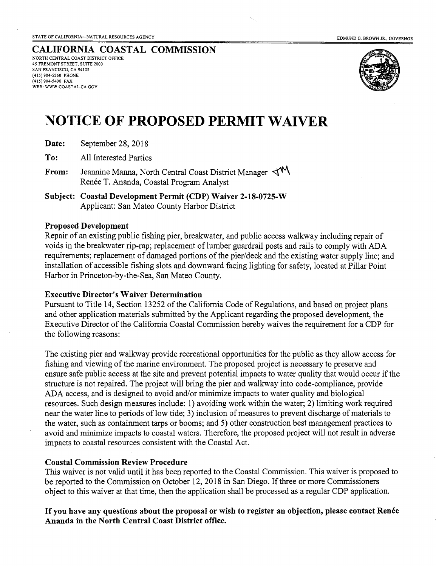CALIFORNIA COASTAL COMMISSION NORTH CENTRAL COAST DISTRICT OFFICE 45 FREMONT STREET, SUITE 2000 SAN FRANCISCO, CA 94105 (415)904-5260 PHONE (415)904-5400 FAX WEB: WWW.COASTAL.CA.GOV



## NOTICE OF PROPOSED PERMIT WATVER

| Date: | September 28, 2018 |  |
|-------|--------------------|--|
|-------|--------------------|--|

To: All Interested Parties

From: Jeannine Manna, North Central Coast District Manager  $\P^{\mathbf{N}}$ Renée T. Ananda, Coastal Program Analyst

Subject: Coastal Development Permit (CDP) Waiver 2-18-0725-W Applicant: San Mateo County Harbor District

#### Proposed Development

Repair of an existing public fishing pier, breakwater, and public access walkway including repair of voids in the breakwater rip-rap; replacement of lumber guardrail posts and rails to comply with ADA requirements; replacement of damaged portions of the pier/deck and the existing water supply line; and installation of accessible fishing slots and downward facing lighting for safety, located at Pillar Point Harbor in Princeton-by-the-Sea, San Mateo County.

### Executive Director's Waiver Determination

Pursuant to Title 14, Section 13252 of the California Code of Regulations, and based on project plans and other application materials submitted by the Applicant regarding the proposed development, the Executive Director of the California Coastal Commission hereby waives the requirement for a CDP for the following reasons:

The existing pier and walkway provide recreational opportunities for the public as they allow access for fishing and viewing of the marine environment. The proposed project is necessary to preserve and ensure safe public access at the site and prevent potential impacts to water quality that would occur if the structure is not repaired. The project will bring the pier and walkway into code-compliance, provide ADA access, and is designed to avoid and/or minimize impacts to water quality and biological resources. Such design measures include: l) avoiding work within the water; 2) limiting work required near the water line to periods of low tide; 3) inclusion of measures to prevent discharge of materials to the water, such as containment tarps or booms; and 5) other construction best management practices to avoid and minimize impacts to coastal waters. Therefore, the proposed project will not result in adverse impacts to coastal resources consistent with the Coastal Act.

#### Coastal Commission Review Procedure

This waiver is not valid until it has been reported to the Coastal Commission. This waiver is proposed to be reported to the Commission on October 12, 2018 in San Diego. If three or more Commissioners object to this waiver at that time, then the application shall be processed as a regular CDP application.

#### If you have any questions about the proposal or wish to register an objection, please contact Renée Ananda in the North Central Coast District office.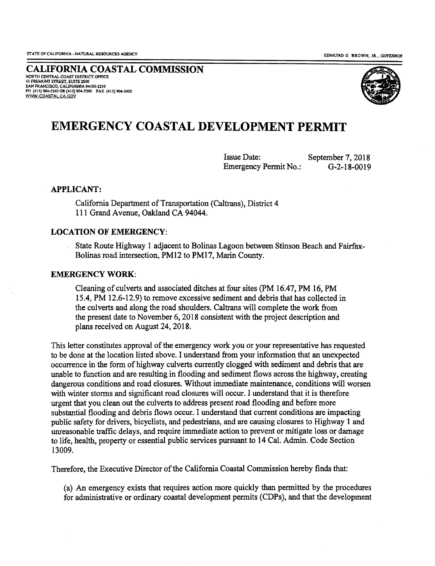CALIFORNIA COASTAL COMMISSION 45 FREMONT STREET, SUITE 2000 SAN FRANCISCO, CALIFORNIA 94105-2219 PH (415) 904-5260 OR (415) 904-5200 FAX (415) 904-5400 WWW.COASTAL.CA.GOV



### EMERGENCY COASTAL DEVELOPMENT PERMIT

Issue Date: Emergency Permit No.: September 7, 2018 G-2-18-0019

#### APPLICANT:

California Department of Transportation (Caltrans), District 4 111 Grand Avenue, Oakland CA 94044.

#### LOCATION OF EMERGENCY:

State Route Highway 1 adjacent to Bolinas Lagoon between Stinson Beach and Fairfax-Bolinas road intersection, PM12 to PM17, Marin County.

#### EMERGENCYWORK:

Cleaning of culverts and associated ditches at four sites (PM 16.47, PM 16, PM 15.4, PM 12.6-12.9) to remove excessive sediment and debris that has collected in the culverts and along the road shoulders. Caltrans will complete the work from the present date to November 6, 2018 consistent with the project description and plans received on August 24, 2018.

This letter constitutes approval of the emergency work you or yoru representative has requested to be done at the location listed above. I understand from your information that an unexpected occurrence in the form of highway culverts currently clogged with sediment and debris that are unable to function and are resulting in flooding and sediment flows across the highway, creating dangerous conditions and road closures. Without immediate maintenance, conditions will worsen with winter storms and significant road closures will occur. I understand that it is therefore urgent that you clean out the culverts to address present road flooding and before more substantial flooding and debris flows occur. I understand that current conditions are impacting public safety for drivers, bicyclists, and pedestians, aud are causing closues to Highway 1 and unreasonable'traffic delays, ahd require'immediate action to prevent or mitigate loss or damage to life, health, property or essential public services pursuant to 14 Cal. Admin. Code Section 13009,

Therefore, the Executive Director of the California Coastal Commission hereby finds that:

(a) An emergency exists that requires action more quickly than pemritted by the procedures for administrative or ordinary coastal development permits (CDPs), and that the development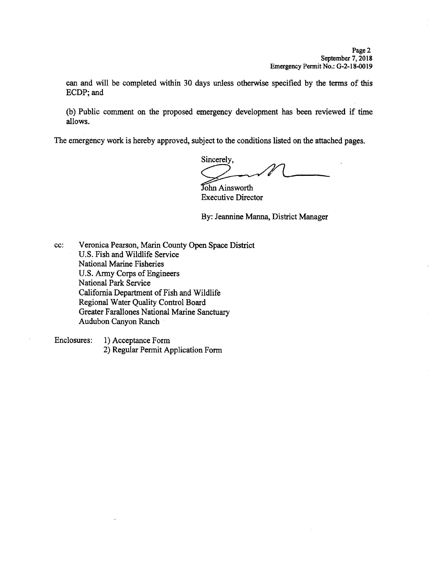can and will be completed within 30 days unless otherwise specified by the terms of this ECDP; and

(b) Public comment on the proposed emergency development has been reviewed if time allows.

The emergency work is hereby approved, subject to the conditions listed on the attached pages.

Sincerely.

John Ainsworth **Executive Director** 

By: Jeannine Manna, District Manager

Veronica Pearson, Marin County Open Space District cc: U.S. Fish and Wildlife Service National Marine Fisheries U.S. Army Corps of Engineers **National Park Service** California Department of Fish and Wildlife Regional Water Quality Control Board **Greater Farallones National Marine Sanctuary** Audubon Canyon Ranch

Enclosures: 1) Acceptance Form 2) Regular Permit Application Form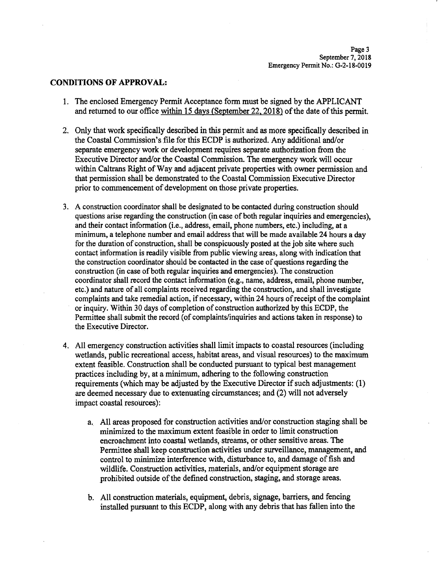#### **CONDITIONS OF APPROVAL:**

- 1. The enclosed Emergency Permit Acceptance form must be signed by the APPLICANT and returned to our office within 15 days (September 22, 2018) of the date of this permit.
- 2. Only that work specifically described in this permit and as more specifically described in the Coastal Commission's file for this ECDP is authorized. Any additional and/or separate emergency work or development requires separate authorization from the Executive Director and/or the Coastal Commission. The emergency work will occur within Caltrans Right of Way and adjacent private properties with owner permission and that permission shall be demonstrated to the Coastal Commission Executive Director prior to commencement of development on those private properties.
- 3. A construction coordinator shall be designated to be contacted during construction should questions arise regarding the construction (in case of both regular inquiries and emergencies), and their contact information (i.e., address, email, phone numbers, etc.) including, at a minimum. a telephone number and email address that will be made available 24 hours a day for the duration of construction, shall be conspicuously posted at the job site where such contact information is readily visible from public viewing areas, along with indication that the construction coordinator should be contacted in the case of questions regarding the construction (in case of both regular inquiries and emergencies). The construction coordinator shall record the contact information (e.g., name, address, email, phone number, etc.) and nature of all complaints received regarding the construction, and shall investigate complaints and take remedial action, if necessary, within 24 hours of receipt of the complaint or inquiry. Within 30 days of completion of construction authorized by this ECDP, the Permittee shall submit the record (of complaints/inquiries and actions taken in response) to the Executive Director.
- 4. All emergency construction activities shall limit impacts to coastal resources (including wetlands, public recreational access, habitat areas, and visual resources) to the maximum extent feasible. Construction shall be conducted pursuant to typical best management practices including by, at a minimum, adhering to the following construction requirements (which may be adjusted by the Executive Director if such adjustments: (1) are deemed necessary due to extenuating circumstances; and (2) will not adversely impact coastal resources):
	- a. All areas proposed for construction activities and/or construction staging shall be minimized to the maximum extent feasible in order to limit construction encroachment into coastal wetlands, streams, or other sensitive areas. The Permittee shall keep construction activities under surveillance, management, and control to minimize interference with, disturbance to, and damage of fish and wildlife. Construction activities, materials, and/or equipment storage are prohibited outside of the defined construction, staging, and storage areas.
	- b. All construction materials, equipment, debris, signage, barriers, and fencing installed pursuant to this ECDP, along with any debris that has fallen into the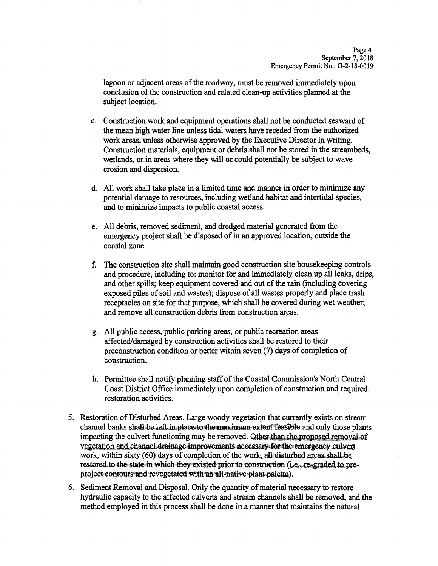lagoon or adjacent areas of the roadway, must be removed immediately upon conclusion of the construction and related clean-up activities planned at the subject location.

- c. Construction work and equipment operations shall not be conducted seaward of the mean high water line unless tidal waters have receded from the authorized work areas, unless otherwise approved by the Executive Director in writing. Construction materials, equipment or debris shall not be stored in the streambeds, wetlands, or in areas where they will or could potentially be subject to wave erosion and dispersion.
- d. All work shall take place in a limited time and manner in order to minimize any potential damage to resources, including wetland habitat and intertidal species, and to minimize impacts to public coastal access.
- e. All debris, removed sediment, and dredged material generated from the emergency project shall be disposed of in an approved location, outside the coastal zone.
- f. The construction site shall maintain good construction site house keeping controls and procedure, including to: monitor for and immediately clean up all leaks, drips, and other spills; keep equipment covered and out of the rain (including covering exposed piles of soil and wastes); dispose of all wastes properly and place trash receptacles on site for that purpose, which shall be covered during wet weather; and remove all construction debris from construction areas.
- g. All public access, public parking areas, or public recreation areas affected/damaged by construction activities shall be restored to their preconstruction condition or better within seven (7) days of completion of construction.
- h. Permittee shall notify planning staff of the Coastal Commission's North Central Coast District Office immediately upon completion of construction and required restoration activities.
- 5. Restoration of Disturbed Areas. Large woody vegetation that currently exists on stream channel banks shall be left in place to the maximum extent feasible and only those plants impacting the culvert functioning may be removed. Other than the proposed removal of vegetation and channel drainage improvements necessary for the emergency culvert work, within sixty (60) days of completion of the work, all disturbed areas shall be restored to the state in which they existed prior to construction (i.e., re-graded to preproject contours and revegetated with an all-native plant palette).
- 6. Sediment Removal and Disposal. Only the quantity of material necessary to restore hydraulic capacity to the affected culverts and stream channels shall be removed, and the method employed in this process shall be done in a manner that maintains the natural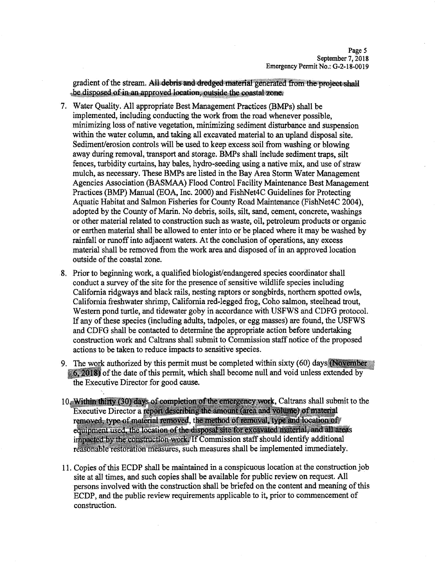gradient of the stream. All debris and dredged material generated from the project shall be disposed of in an approved location outside the coastal zone.

- 7. Water Quality. All appropriate Best Management Practices (BMPs) shall be implemented, including conducting the work from the road whenever possible. minimizing loss of native vegetation, minimizing sediment disturbance and suspension within the water column, and taking all excavated material to an upland disposal site. Sediment/erosion controls will be used to keep excess soil from washing or blowing away during removal, transport and storage. BMPs shall include sediment traps, silt fences, turbidity curtains, hay bales, hydro-seeding using a native mix, and use of straw mulch, as necessary. These BMPs are listed in the Bay Area Storm Water Management Agencies Association (BASMAA) Flood Control Facility Maintenance Best Management Practices (BMP) Manual (EOA, Inc. 2000) and FishNet4C Guidelines for Protecting Aquatic Habitat and Salmon Fisheries for County Road Maintenance (FishNet4C 2004). adopted by the County of Marin. No debris, soils, silt, sand, cement, concrete, washings or other material related to construction such as waste, oil, petroleum products or organic or earthen material shall be allowed to enter into or be placed where it may be washed by rainfall or runoff into adjacent waters. At the conclusion of operations, any excess material shall be removed from the work area and disposed of in an approved location outside of the coastal zone.
- 8. Prior to beginning work, a qualified biologist/endangered species coordinator shall conduct a survey of the site for the presence of sensitive wildlife species including California ridgways and black rails, nesting raptors or songbirds, northern spotted owls, California freshwater shrimp, California red-legged frog, Coho salmon, steelhead trout, Western pond turtle, and tidewater goby in accordance with USFWS and CDFG protocol. If any of these species (including adults, tadpoles, or egg masses) are found, the USFWS and CDFG shall be contacted to determine the appropriate action before undertaking construction work and Caltrans shall submit to Commission staff notice of the proposed actions to be taken to reduce impacts to sensitive species.
- 9. The work authorized by this permit must be completed within sixty (60) days (November 6, 2018 of the date of this permit, which shall become null and void unless extended by the Executive Director for good cause.
- 10. Within thirty (30) days of completion of the emergency work, Caltrans shall submit to the Executive Director a report describing the amount (area and volume) of material removed, type of material removed, the method of removal, type and location of equipment used, the location of the disposal site for excavated material, and all areas impacted by the construction work. If Commission staff should identify additional reasonable restoration measures, such measures shall be implemented immediately.
- 11. Copies of this ECDP shall be maintained in a conspicuous location at the construction job site at all times, and such copies shall be available for public review on request. All persons involved with the construction shall be briefed on the content and meaning of this ECDP, and the public review requirements applicable to it, prior to commencement of construction.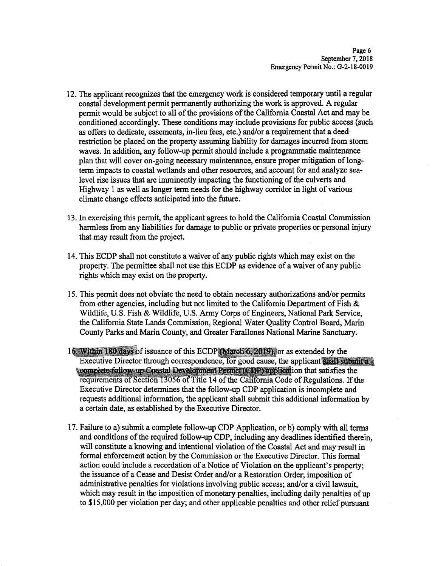- 12. The applicant recognizes that the emergency work is considered temporary until a regular coastal development permit permanently authorizing the work is approved. A regular permit would be subject to all of the provisions of the California Coastal Act and may be conditioned accordingly. These conditions may include provisions for public access (such as offers to dedicate, easements, in-lieu fees, etc.) and/or a requirement that a deed restriction be placed on the property assuming liability for damages incurred from storm waves. In addition, any follow-up permit should include a programmatic maintenance plan that will cover on-going necessary maintenance, ensure proper mitigation of longterm impacts to coastal wetlands and other resources, and account for and analyze sealevel rise issues that are imminently impacting the functioning of the culverts and Highway 1 as well as longer term needs for the highway corridor in light of various climate change effects anticipated into the future.
- 13. In exercising this permit, the applicant agrees to hold the California Coastal Commission harmless from any liabilities for damage to public or private properties or personal injury that may result from the project.
- 14. This ECDP shall not constitute a waiver of any public rights which may exist on the property. The permittee shall not use this ECDP as evidence of a waiver of any public rights which may exist on the property.
- 15. This permit does not obviate the need to obtain necessary authorizations and/or permits from other agencies, including but not limited to the California Department of Fish & Wildlife, U.S. Fish & Wildlife, U.S. Army Corps of Engineers, National Park Service, the California State Lands Commission, Regional Water Quality Control Board, Marin County Parks and Marin County, and Greater Farallones National Marine Sanctuary.
- 16. Within 180 days of issuance of this ECDP (March 6, 2019), or as extended by the Executive Director through correspondence, for good cause, the applicant shall submit a complete follow-up Coastal Development Permit (CDP) application that satisfies the requirements of Section 13056 of Title 14 of the California Code of Regulations. If the Executive Director determines that the follow-up CDP application is incomplete and requests additional information, the applicant shall submit this additional information by a certain date, as established by the Executive Director.
- 17. Failure to a) submit a complete follow-up CDP Application, or b) comply with all terms and conditions of the required follow-up CDP, including any deadlines identified therein. will constitute a knowing and intentional violation of the Coastal Act and may result in formal enforcement action by the Commission or the Executive Director. This formal action could include a recordation of a Notice of Violation on the applicant's property; the issuance of a Cease and Desist Order and/or a Restoration Order; imposition of administrative penalties for violations involving public access; and/or a civil lawsuit, which may result in the imposition of monetary penalties, including daily penalties of up to \$15,000 per violation per day; and other applicable penalties and other relief pursuant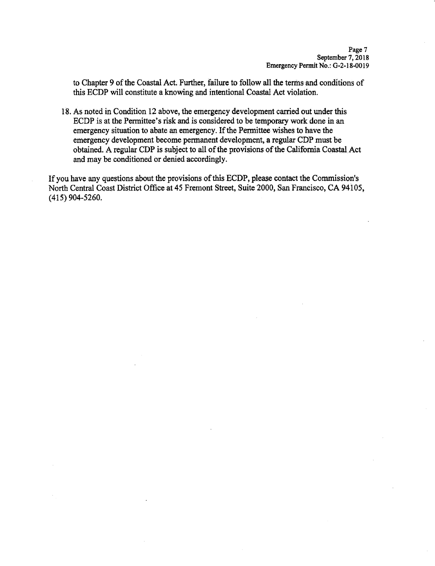to Chapter 9 of the Coastal Act. Further, failure to follow all the terms and conditions of this ECDP will constitute a knowing and intentional Coastal Act violation.

18. As noted in Condition 12 above, the emergency development carried out under this ECDP is at the Permittee's risk and is considered to be temporary work done in an emergency situation to abate an emergency. If the Permittee wishes to have the emergency development become permanent development, a regular CDP must be obtained. A regular CDP is subject to all of the provisions of the California Coastal Act and may be conditioned or denied accordingly.

If you have any questions about the provisions of this ECDP, please contact the Commission's North Central Coast District Office at 45 Fremont Street, Suite 2000, San Francisco, CA 94105,  $(415)$  904-5260.